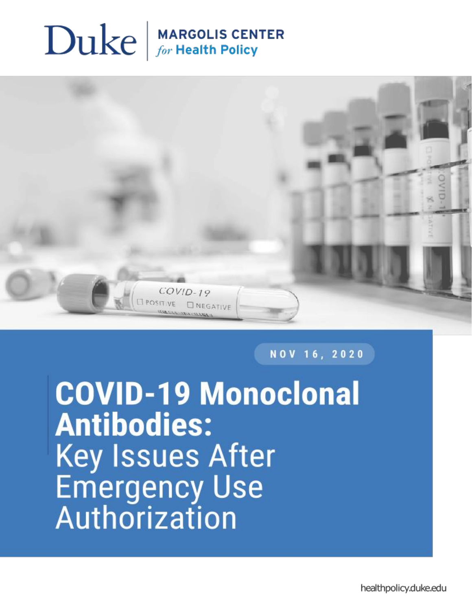# $\sum$ uke  $\int_{\text{for Health Policy}}$



NOV 16, 2020

**COVID-19 Monoclonal Antibodies: Key Issues After Emergency Use** Authorization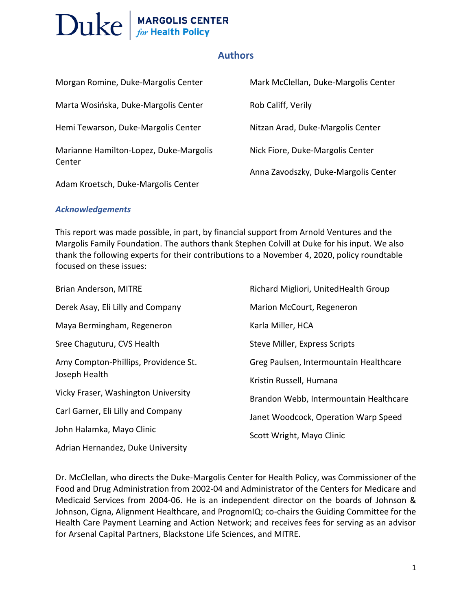#### **Authors**

| Morgan Romine, Duke-Margolis Center              | Mark McClellan, Duke-Margolis Center |
|--------------------------------------------------|--------------------------------------|
| Marta Wosińska, Duke-Margolis Center             | Rob Califf, Verily                   |
| Hemi Tewarson, Duke-Margolis Center              | Nitzan Arad, Duke-Margolis Center    |
| Marianne Hamilton-Lopez, Duke-Margolis<br>Center | Nick Fiore, Duke-Margolis Center     |
|                                                  | Anna Zavodszky, Duke-Margolis Center |
| Adam Kroetsch, Duke-Margolis Center              |                                      |

#### *Acknowledgements*

This report was made possible, in part, by financial support from Arnold Ventures and the Margolis Family Foundation. The authors thank Stephen Colvill at Duke for his input. We also thank the following experts for their contributions to a November 4, 2020, policy roundtable focused on these issues:

| Brian Anderson, MITRE                | Richard Migliori, UnitedHealth Group   |
|--------------------------------------|----------------------------------------|
| Derek Asay, Eli Lilly and Company    | Marion McCourt, Regeneron              |
| Maya Bermingham, Regeneron           | Karla Miller, HCA                      |
| Sree Chaguturu, CVS Health           | Steve Miller, Express Scripts          |
| Amy Compton-Phillips, Providence St. | Greg Paulsen, Intermountain Healthcare |
| Joseph Health                        | Kristin Russell, Humana                |
| Vicky Fraser, Washington University  | Brandon Webb, Intermountain Healthcare |
| Carl Garner, Eli Lilly and Company   | Janet Woodcock, Operation Warp Speed   |
| John Halamka, Mayo Clinic            | Scott Wright, Mayo Clinic              |
| Adrian Hernandez, Duke University    |                                        |

Dr. McClellan, who directs the Duke-Margolis Center for Health Policy, was Commissioner of the Food and Drug Administration from 2002-04 and Administrator of the Centers for Medicare and Medicaid Services from 2004-06. He is an independent director on the boards of Johnson & Johnson, Cigna, Alignment Healthcare, and PrognomIQ; co-chairs the Guiding Committee for the Health Care Payment Learning and Action Network; and receives fees for serving as an advisor for Arsenal Capital Partners, Blackstone Life Sciences, and MITRE.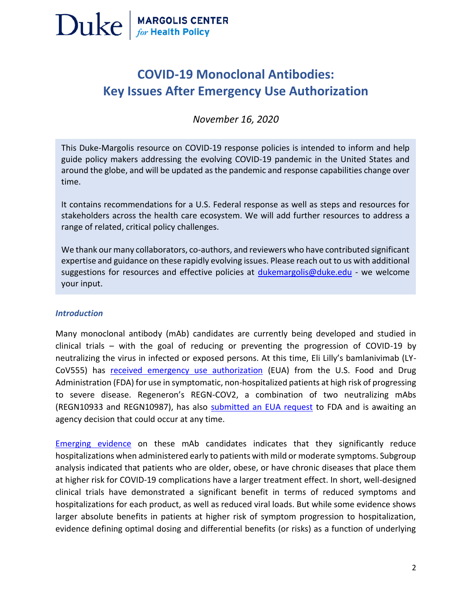

### **COVID-19 Monoclonal Antibodies: Key Issues After Emergency Use Authorization**

*November 16, 2020*

This Duke-Margolis resource on COVID-19 response policies is intended to inform and help guide policy makers addressing the evolving COVID-19 pandemic in the United States and around the globe, and will be updated as the pandemic and response capabilities change over time.

It contains recommendations for a U.S. Federal response as well as steps and resources for relations recommendations for a 0.5. Federal response as well as steps and resources for<br>stakeholders across the health care ecosystem. We will add further resources to address a range of related, critical policy challenges.<br>The co-authors, and reviewers who have contributed significant significant significant significant significant

We thank our many collaborators, co-authors, [and reviewers who have](mailto:dukemargolis@duke.edu) contributed significant expertise and guidance on these rapidly evolving issues. Please reach out to us with additional suggestions for resources and effective policies at [dukemargolis@duke.edu](mailto:dukemargolis@duke.edu) - we welcome your input.

#### *Introduction*

Many monoclonal antibody (mAb) candidates are currently being developed and studied in clinical trials – with the goal of reducing or preventing the progression of COVID-19 by neutralizing the virus in infected or exposed persons. At this time, Eli Lilly's bamlanivimab (LYCoV555) has [received emergency use authorization](https://www.fda.gov/news-events/press-announcements/coronavirus-covid-19-update-fda-authorizes-monoclonal-antibody-treatment-covid-19) (EUA) from the U.S. Food and Drug Administration (FDA) for use in symptomatic, non-hospitalized patients at high risk of progressing to severe disease. Regeneron's REGN-COV2, a combination of two neutralizing mAbs (REGN10933 and REGN10987), has also [submitted an EUA request](https://investor.regeneron.com/static-files/6feab76b-176d-402d-bf30-d40462e68b7b) to FDA and is awaiting an agency decision that could occur at any time.

[Emerging evidence](https://www.nejm.org/doi/full/10.1056/NEJMoa2029849?query=featured_home) on these mAb candidates indicates that they significantly reduce hospitalizations when administered early to patients with mild or moderate symptoms. Subgroup analysis indicated that patients who are older, obese, or have chronic diseases that place them at higher risk for COVID-19 complications have a larger treatment effect. In short, well-designed clinical trials have demonstrated a significant benefit in terms of reduced symptoms and hospitalizations for each product, as well as reduced viral loads. But while some evidence shows larger absolute benefits in patients at higher risk of symptom progression to hospitalization, evidence defining optimal dosing and differential benefits (or risks) as a function of underlying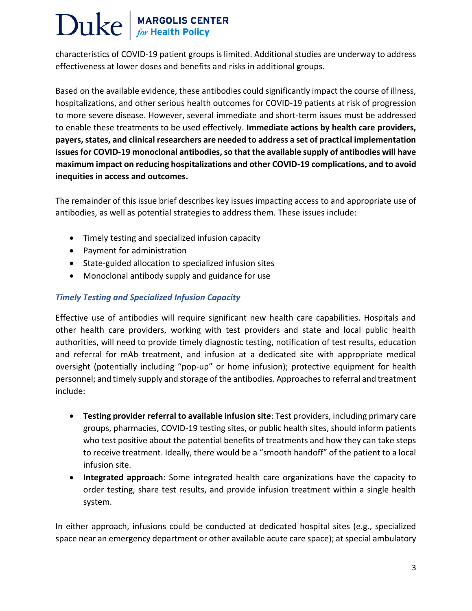characteristics of COVID-19 patient groups is limited. Additional studies are underway to address effectiveness at lower doses and benefits and risks in additional groups.

Based on the available evidence, these antibodies could significantly impact the course of illness, hospitalizations, and other serious health outcomes for COVID-19 patients at risk of progression to more severe disease. However, several immediate and short-term issues must be addressed to enable these treatments to be used effectively. **Immediate actions by health care providers, payers, states, and clinical researchers are needed to address a set of practical implementation issues for COVID-19 monoclonal antibodies, so that the available supply of antibodies will have maximum impact on reducing hospitalizations and other COVID-19 complications, and to avoid inequities in access and outcomes.** 

The remainder of this issue brief describes key issues impacting access to and appropriate use of antibodies, as well as potential strategies to address them. These issues include:

- Timely testing and specialized infusion capacity
- Payment for administration
- State-guided allocation to specialized infusion sites
- Monoclonal antibody supply and guidance for use

#### *Timely Testing and Specialized Infusion Capacity*

Effective use of antibodies will require significant new health care capabilities. Hospitals and other health care providers, working with test providers and state and local public health authorities, will need to provide timely diagnostic testing, notification of test results, education and referral for mAb treatment, and infusion at a dedicated site with appropriate medical oversight (potentially including "pop-up" or home infusion); protective equipment for health personnel; and timely supply and storage of the antibodies. Approaches to referral and treatment include:

- **Testing provider referral to available infusion site**: Test providers, including primary care groups, pharmacies, COVID-19 testing sites, or public health sites, should inform patients who test positive about the potential benefits of treatments and how they can take steps to receive treatment. Ideally, there would be a "smooth handoff" of the patient to a local infusion site.
- **Integrated approach**: Some integrated health care organizations have the capacity to order testing, share test results, and provide infusion treatment within a single health system.

In either approach, infusions could be conducted at dedicated hospital sites (e.g., specialized space near an emergency department or other available acute care space); at special ambulatory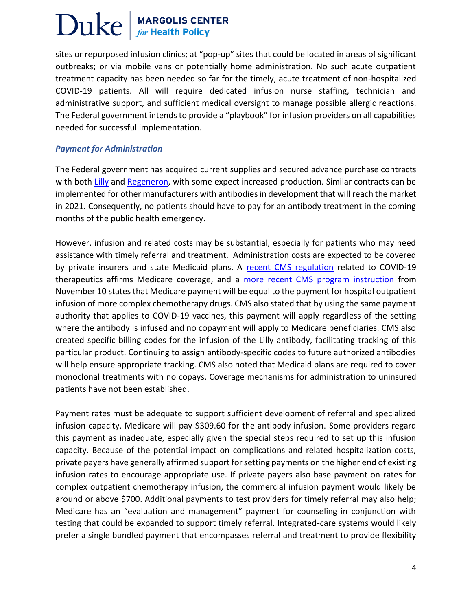sites or repurposed infusion clinics; at "pop-up" sites that could be located in areas of significant outbreaks; or via mobile vans or potentially home administration. No such acute outpatient treatment capacity has been needed so far for the timely, acute treatment of non-hospitalized COVID-19 patients. All will require dedicated infusion nurse staffing, technician and administrative support, and sufficient medical oversight to manage possible allergic reactions. The Federal government intends to provide a "playbook" for infusion providers on all capabilities needed for successful implementation.

#### *Payment for Administration*

The Federal government has acquired current supplies and secured advance purchase contracts with both [Lilly](https://www.hhs.gov/about/news/2020/10/28/hhs-dod-collaborate-plans-purchase-lilly-investigational-therapeutic-treat-covid-19.html) and [Regeneron,](https://www.hhs.gov/about/news/2020/07/07/hhs-dod-collaborate-regeneron-large-scale-manufacturing-demonstration-project-covid-19-investigational-therapeutic-treatment.html) with some expect increased production. Similar contracts can be implemented for other manufacturers with antibodies in development that will reach the market in 2021. Consequently, no patients should have to pay for an antibody treatment in the coming months of the public health emergency.

However, infusion and related costs may be substantial, especially for patients who may need assistance with timely referral and treatment. Administration costs are expected to be covered by private insurers and state Medicaid plans. A [recent CMS regulation](https://insidehealthpolicy.com/login-redirect-cookie?destination=/sites/insidehealthpolicy.com/files/documents/2020/oct/he2020_2529b.pdf) related to COVID-19 therapeutics affirms Medicare coverage, and a [more recent CMS program instruction](https://www.cms.gov/files/document/covid-medicare-monoclonal-antibody-infusion-program-instruction.pdf) from November 10 states that Medicare payment will be equal to the payment for hospital outpatient infusion of more complex chemotherapy drugs. CMS also stated that by using the same payment authority that applies to COVID-19 vaccines, this payment will apply regardless of the setting where the antibody is infused and no copayment will apply to Medicare beneficiaries. CMS also created specific billing codes for the infusion of the Lilly antibody, facilitating tracking of this particular product. Continuing to assign antibody-specific codes to future authorized antibodies will help ensure appropriate tracking. CMS also noted that Medicaid plans are required to cover monoclonal treatments with no copays. Coverage mechanisms for administration to uninsured patients have not been established.

Payment rates must be adequate to support sufficient development of referral and specialized infusion capacity. Medicare will pay \$309.60 for the antibody infusion. Some providers regard this payment as inadequate, especially given the special steps required to set up this infusion capacity. Because of the potential impact on complications and related hospitalization costs, private payers have generally affirmed support for setting payments on the higher end of existing infusion rates to encourage appropriate use. If private payers also base payment on rates for complex outpatient chemotherapy infusion, the commercial infusion payment would likely be around or above \$700. Additional payments to test providers for timely referral may also help; Medicare has an "evaluation and management" payment for counseling in conjunction with testing that could be expanded to support timely referral. Integrated-care systems would likely prefer a single bundled payment that encompasses referral and treatment to provide flexibility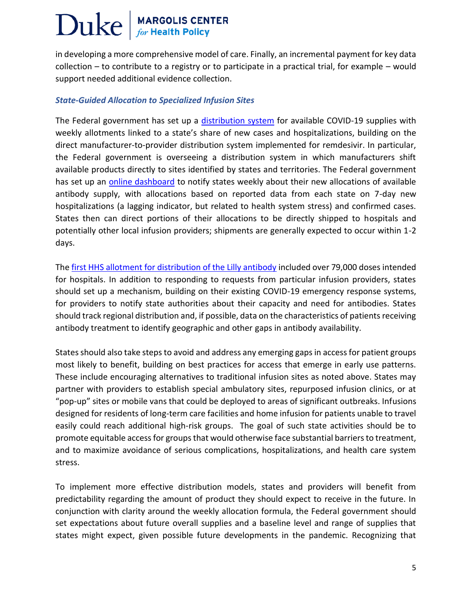in developing a more comprehensive model of care. Finally, an incremental payment for key data collection – to contribute to a registry or to participate in a practical trial, for example – would support needed additional evidence collection.

#### *State-Guided Allocation to Specialized Infusion Sites*

The Federal government has set up a [distribution system](https://www.phe.gov/emergency/events/COVID19/investigation-MCM/Bamlanivimab/Pages/bamlanivimab-faq.aspx) for available COVID-19 supplies with weekly allotments linked to a state's share of new cases and hospitalizations, building on the direct manufacturer-to-provider distribution system implemented for remdesivir. In particular, the Federal government is overseeing a distribution system in which manufacturers shift available products directly to sites identified by states and territories. The Federal government has set up an [online dashboard](https://www.phe.gov/emergency/events/COVID19/investigation-MCM/Bamlanivimab/Pages/allocation.aspx) to notify states weekly about their new allocations of available antibody supply, with allocations based on reported data from each state on 7-day new hospitalizations (a lagging indicator, but related to health system stress) and confirmed cases. States then can direct portions of their allocations to be directly shipped to hospitals and potentially other local infusion providers; shipments are generally expected to occur within 1-2 days.

Th[e first HHS allotment for distribution of the Lilly antibody](https://www.phe.gov/emergency/events/COVID19/investigation-MCM/Bamlanivimab/Pages/allocation.aspx) included over 79,000 doses intended for hospitals. In addition to responding to requests from particular infusion providers, states should set up a mechanism, building on their existing COVID-19 emergency response systems, for providers to notify state authorities about their capacity and need for antibodies. States should track regional distribution and, if possible, data on the characteristics of patients receiving antibody treatment to identify geographic and other gaps in antibody availability.

States should also take steps to avoid and address any emerging gaps in access for patient groups most likely to benefit, building on best practices for access that emerge in early use patterns. These include encouraging alternatives to traditional infusion sites as noted above. States may partner with providers to establish special ambulatory sites, repurposed infusion clinics, or at "pop-up" sites or mobile vans that could be deployed to areas of significant outbreaks. Infusions designed for residents of long-term care facilities and home infusion for patients unable to travel easily could reach additional high-risk groups. The goal of such state activities should be to promote equitable access for groups that would otherwise face substantial barriers to treatment, and to maximize avoidance of serious complications, hospitalizations, and health care system stress.

To implement more effective distribution models, states and providers will benefit from predictability regarding the amount of product they should expect to receive in the future. In conjunction with clarity around the weekly allocation formula, the Federal government should set expectations about future overall supplies and a baseline level and range of supplies that states might expect, given possible future developments in the pandemic. Recognizing that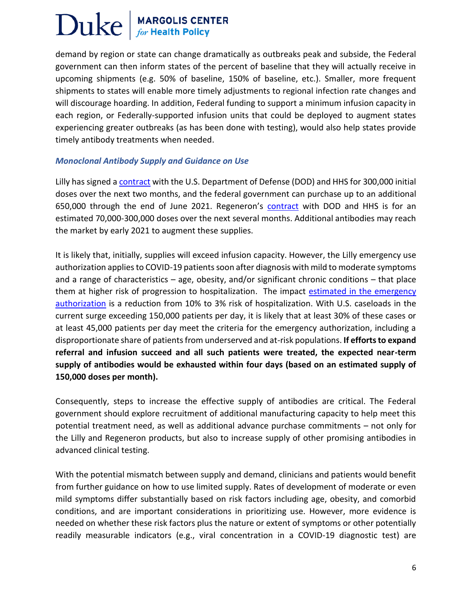demand by region or state can change dramatically as outbreaks peak and subside, the Federal government can then inform states of the percent of baseline that they will actually receive in upcoming shipments (e.g. 50% of baseline, 150% of baseline, etc.). Smaller, more frequent shipments to states will enable more timely adjustments to regional infection rate changes and will discourage hoarding. In addition, Federal funding to support a minimum infusion capacity in each region, or Federally-supported infusion units that could be deployed to augment states experiencing greater outbreaks (as has been done with testing), would also help states provide timely antibody treatments when needed.

#### *Monoclonal Antibody Supply and Guidance on Use*

Lilly has signed [a contract](https://www.hhs.gov/about/news/2020/10/28/hhs-dod-collaborate-plans-purchase-lilly-investigational-therapeutic-treat-covid-19.html) with the U.S. Department of Defense (DOD) and HHS for 300,000 initial doses over the next two months, and the federal government can purchase up to an additional 650,000 through the end of June 2021. Regeneron's [contract](https://www.hhs.gov/about/news/2020/07/07/hhs-dod-collaborate-regeneron-large-scale-manufacturing-demonstration-project-covid-19-investigational-therapeutic-treatment.html) with DOD and HHS is for an estimated 70,000-300,000 doses over the next several months. Additional antibodies may reach the market by early 2021 to augment these supplies.

It is likely that, initially, supplies will exceed infusion capacity. However, the Lilly emergency use authorization applies to COVID-19 patients soon after diagnosis with mild to moderate symptoms and a range of characteristics – age, obesity, and/or significant chronic conditions – that place them at higher risk of progression to hospitalization. The impact estimated in the emergency [authorization](https://www.fda.gov/news-events/press-announcements/coronavirus-covid-19-update-fda-authorizes-monoclonal-antibody-treatment-covid-19) is a reduction from 10% to 3% risk of hospitalization. With U.S. caseloads in the current surge exceeding 150,000 patients per day, it is likely that at least 30% of these cases or at least 45,000 patients per day meet the criteria for the emergency authorization, including a disproportionate share of patients from underserved and at-risk populations. **If efforts to expand referral and infusion succeed and all such patients were treated, the expected near-term supply of antibodies would be exhausted within four days (based on an estimated supply of 150,000 doses per month).** 

Consequently, steps to increase the effective supply of antibodies are critical. The Federal government should explore recruitment of additional manufacturing capacity to help meet this potential treatment need, as well as additional advance purchase commitments – not only for the Lilly and Regeneron products, but also to increase supply of other promising antibodies in advanced clinical testing.

With the potential mismatch between supply and demand, clinicians and patients would benefit from further guidance on how to use limited supply. Rates of development of moderate or even mild symptoms differ substantially based on risk factors including age, obesity, and comorbid conditions, and are important considerations in prioritizing use. However, more evidence is needed on whether these risk factors plus the nature or extent of symptoms or other potentially readily measurable indicators (e.g., viral concentration in a COVID-19 diagnostic test) are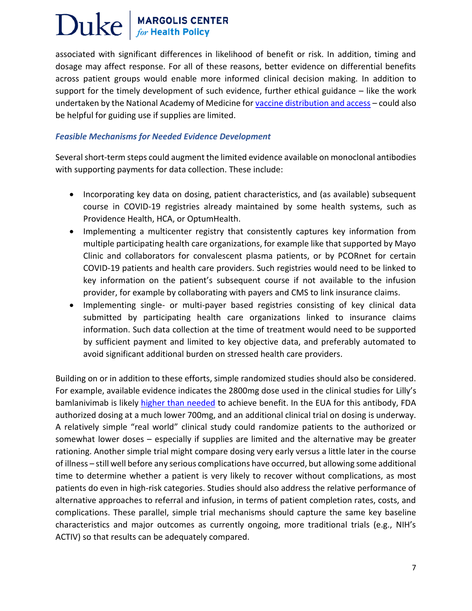### Duke **MARGOLIS CENTER**<br> $for$  Health Policy

associated with significant differences in likelihood of benefit or risk. In addition, timing and dosage may affect response. For all of these reasons, better evidence on differential benefits across patient groups would enable more informed clinical decision making. In addition to support for the timely development of such evidence, further ethical guidance – like the work undertaken by the National Academy of Medicine for [vaccine distribution and access](https://www.nationalacademies.org/our-work/a-framework-for-equitable-allocation-of-vaccine-for-the-novel-coronavirus) – could also be helpful for guiding use if supplies are limited.

#### *Feasible Mechanisms for Needed Evidence Development*

Several short-term steps could augment the limited evidence available on monoclonal antibodies with supporting payments for data collection. These include:

- Incorporating key data on dosing, patient characteristics, and (as available) subsequent course in COVID-19 registries already maintained by some health systems, such as Providence Health, HCA, or OptumHealth.
- Implementing a multicenter registry that consistently captures key information from multiple participating health care organizations, for example like that supported by Mayo Clinic and collaborators for convalescent plasma patients, or by PCORnet for certain COVID-19 patients and health care providers. Such registries would need to be linked to key information on the patient's subsequent course if not available to the infusion provider, for example by collaborating with payers and CMS to link insurance claims.
- Implementing single- or multi-payer based registries consisting of key clinical data submitted by participating health care organizations linked to insurance claims information. Such data collection at the time of treatment would need to be supported by sufficient payment and limited to key objective data, and preferably automated to avoid significant additional burden on stressed health care providers.

Building on or in addition to these efforts, simple randomized studies should also be considered. For example, available evidence indicates the 2800mg dose used in the clinical studies for Lilly's bamlanivimab is likely [higher than needed](https://www.statnews.com/2020/11/10/eli-lilly-dosing-covid-19-treatment/?utm_source=STAT+Newsletters&utm_campaign=a0620d79ea-MR_COPY_01&utm_medium=email&utm_term=0_8cab1d7961-a0620d79ea-150034209) to achieve benefit. In the EUA for this antibody, FDA authorized dosing at a much lower 700mg, and an additional clinical trial on dosing is underway. A relatively simple "real world" clinical study could randomize patients to the authorized or somewhat lower doses – especially if supplies are limited and the alternative may be greater rationing. Another simple trial might compare dosing very early versus a little later in the course of illness – still well before any serious complications have occurred, but allowing some additional time to determine whether a patient is very likely to recover without complications, as most patients do even in high-risk categories. Studies should also address the relative performance of alternative approaches to referral and infusion, in terms of patient completion rates, costs, and complications. These parallel, simple trial mechanisms should capture the same key baseline characteristics and major outcomes as currently ongoing, more traditional trials (e.g., NIH's ACTIV) so that results can be adequately compared.